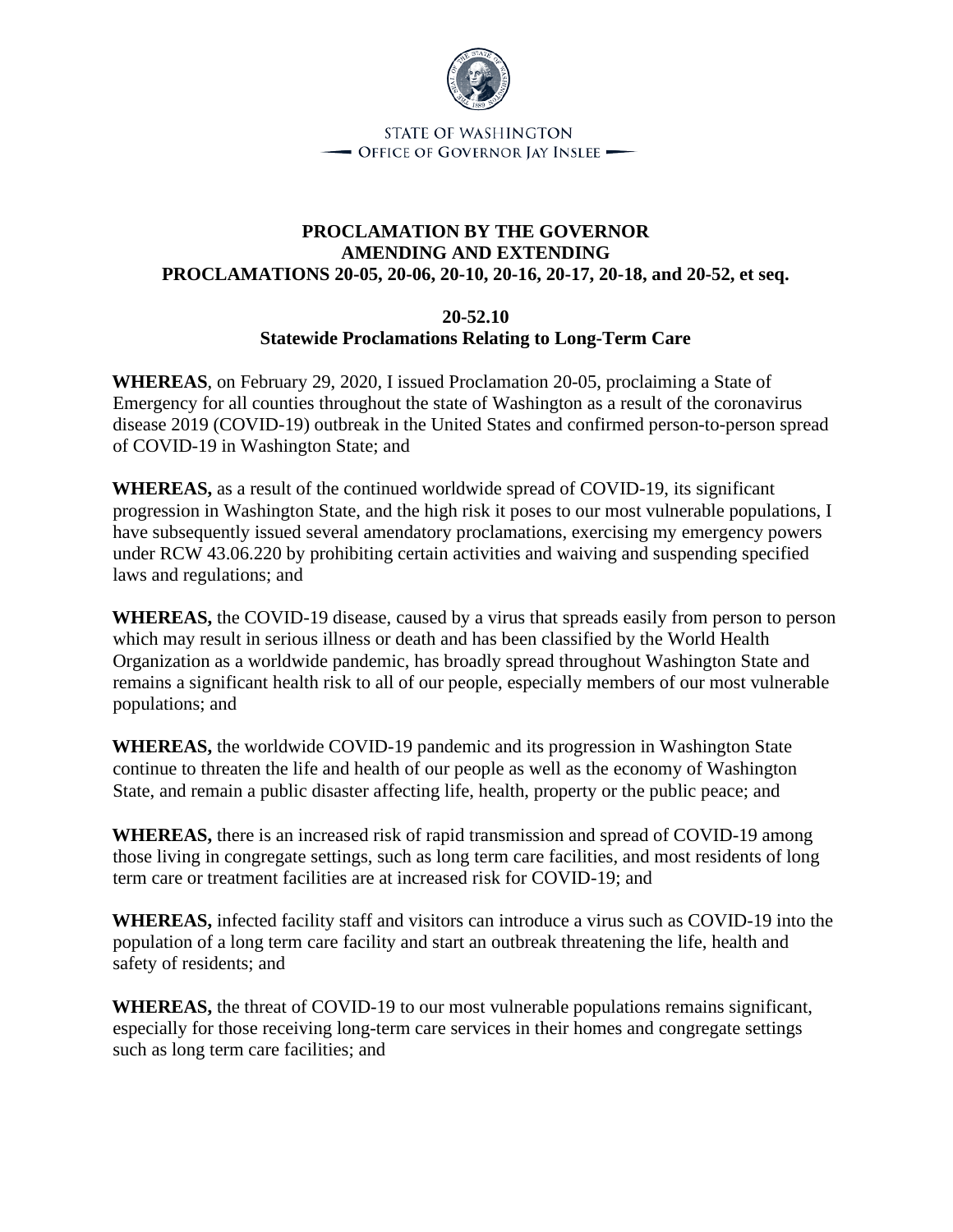

STATE OF WASHINGTON - OFFICE OF GOVERNOR JAY INSLEE

## **PROCLAMATION BY THE GOVERNOR AMENDING AND EXTENDING PROCLAMATIONS 20-05, 20-06, 20-10, 20-16, 20-17, 20-18, and 20-52, et seq.**

## **20-52.10 Statewide Proclamations Relating to Long-Term Care**

**WHEREAS**, on February 29, 2020, I issued Proclamation 20-05, proclaiming a State of Emergency for all counties throughout the state of Washington as a result of the coronavirus disease 2019 (COVID-19) outbreak in the United States and confirmed person-to-person spread of COVID-19 in Washington State; and

**WHEREAS,** as a result of the continued worldwide spread of COVID-19, its significant progression in Washington State, and the high risk it poses to our most vulnerable populations, I have subsequently issued several amendatory proclamations, exercising my emergency powers under RCW 43.06.220 by prohibiting certain activities and waiving and suspending specified laws and regulations; and

**WHEREAS,** the COVID-19 disease, caused by a virus that spreads easily from person to person which may result in serious illness or death and has been classified by the World Health Organization as a worldwide pandemic, has broadly spread throughout Washington State and remains a significant health risk to all of our people, especially members of our most vulnerable populations; and

**WHEREAS,** the worldwide COVID-19 pandemic and its progression in Washington State continue to threaten the life and health of our people as well as the economy of Washington State, and remain a public disaster affecting life, health, property or the public peace; and

**WHEREAS,** there is an increased risk of rapid transmission and spread of COVID-19 among those living in congregate settings, such as long term care facilities, and most residents of long term care or treatment facilities are at increased risk for COVID-19; and

**WHEREAS,** infected facility staff and visitors can introduce a virus such as COVID-19 into the population of a long term care facility and start an outbreak threatening the life, health and safety of residents; and

**WHEREAS,** the threat of COVID-19 to our most vulnerable populations remains significant, especially for those receiving long-term care services in their homes and congregate settings such as long term care facilities; and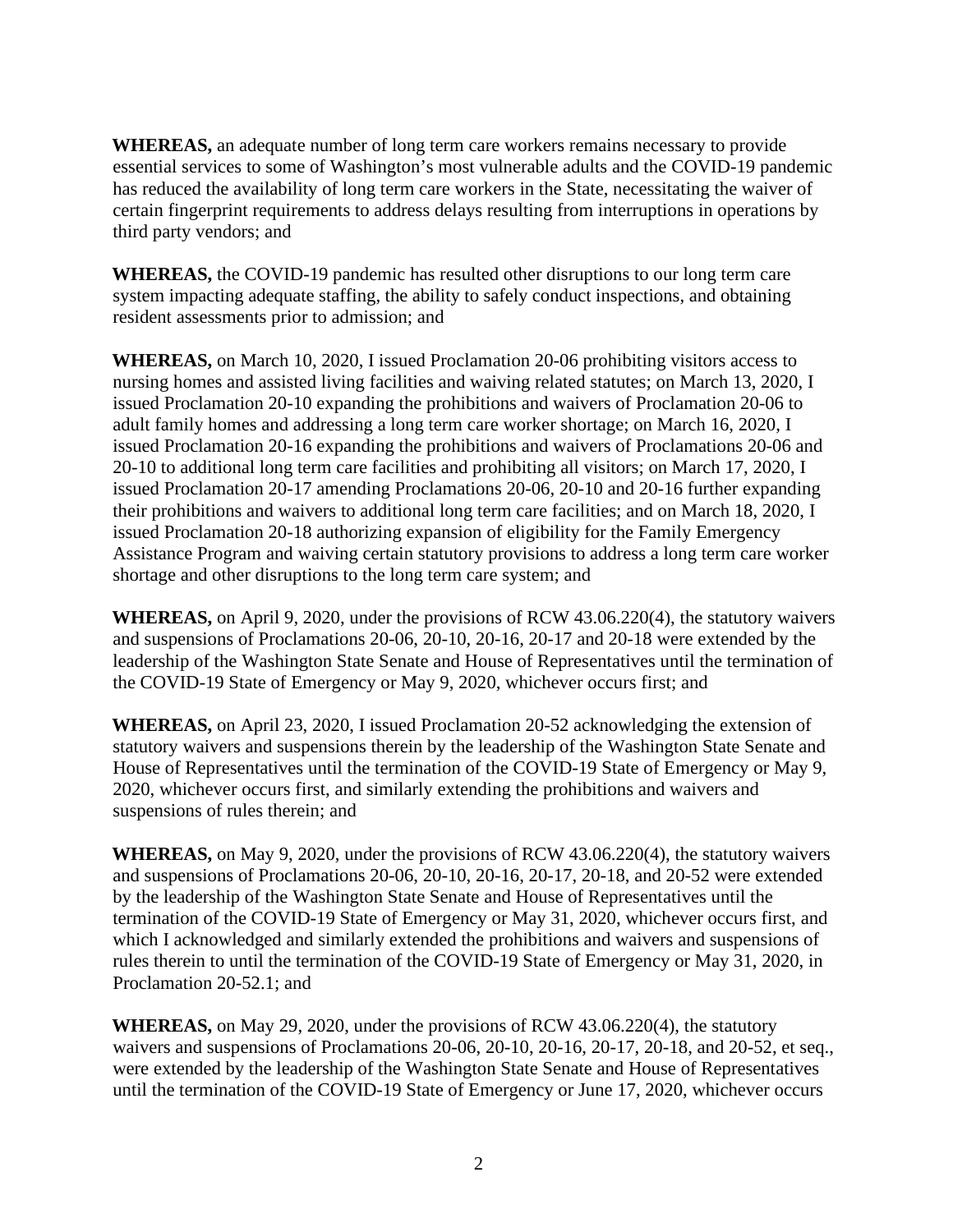**WHEREAS,** an adequate number of long term care workers remains necessary to provide essential services to some of Washington's most vulnerable adults and the COVID-19 pandemic has reduced the availability of long term care workers in the State, necessitating the waiver of certain fingerprint requirements to address delays resulting from interruptions in operations by third party vendors; and

**WHEREAS,** the COVID-19 pandemic has resulted other disruptions to our long term care system impacting adequate staffing, the ability to safely conduct inspections, and obtaining resident assessments prior to admission; and

**WHEREAS,** on March 10, 2020, I issued Proclamation 20-06 prohibiting visitors access to nursing homes and assisted living facilities and waiving related statutes; on March 13, 2020, I issued Proclamation 20-10 expanding the prohibitions and waivers of Proclamation 20-06 to adult family homes and addressing a long term care worker shortage; on March 16, 2020, I issued Proclamation 20-16 expanding the prohibitions and waivers of Proclamations 20-06 and 20-10 to additional long term care facilities and prohibiting all visitors; on March 17, 2020, I issued Proclamation 20-17 amending Proclamations 20-06, 20-10 and 20-16 further expanding their prohibitions and waivers to additional long term care facilities; and on March 18, 2020, I issued Proclamation 20-18 authorizing expansion of eligibility for the Family Emergency Assistance Program and waiving certain statutory provisions to address a long term care worker shortage and other disruptions to the long term care system; and

**WHEREAS,** on April 9, 2020, under the provisions of RCW 43.06.220(4), the statutory waivers and suspensions of Proclamations 20-06, 20-10, 20-16, 20-17 and 20-18 were extended by the leadership of the Washington State Senate and House of Representatives until the termination of the COVID-19 State of Emergency or May 9, 2020, whichever occurs first; and

**WHEREAS,** on April 23, 2020, I issued Proclamation 20-52 acknowledging the extension of statutory waivers and suspensions therein by the leadership of the Washington State Senate and House of Representatives until the termination of the COVID-19 State of Emergency or May 9, 2020, whichever occurs first, and similarly extending the prohibitions and waivers and suspensions of rules therein; and

**WHEREAS,** on May 9, 2020, under the provisions of RCW 43.06.220(4), the statutory waivers and suspensions of Proclamations 20-06, 20-10, 20-16, 20-17, 20-18, and 20-52 were extended by the leadership of the Washington State Senate and House of Representatives until the termination of the COVID-19 State of Emergency or May 31, 2020, whichever occurs first, and which I acknowledged and similarly extended the prohibitions and waivers and suspensions of rules therein to until the termination of the COVID-19 State of Emergency or May 31, 2020, in Proclamation 20-52.1; and

**WHEREAS,** on May 29, 2020, under the provisions of RCW 43.06.220(4), the statutory waivers and suspensions of Proclamations 20-06, 20-10, 20-16, 20-17, 20-18, and 20-52, et seq., were extended by the leadership of the Washington State Senate and House of Representatives until the termination of the COVID-19 State of Emergency or June 17, 2020, whichever occurs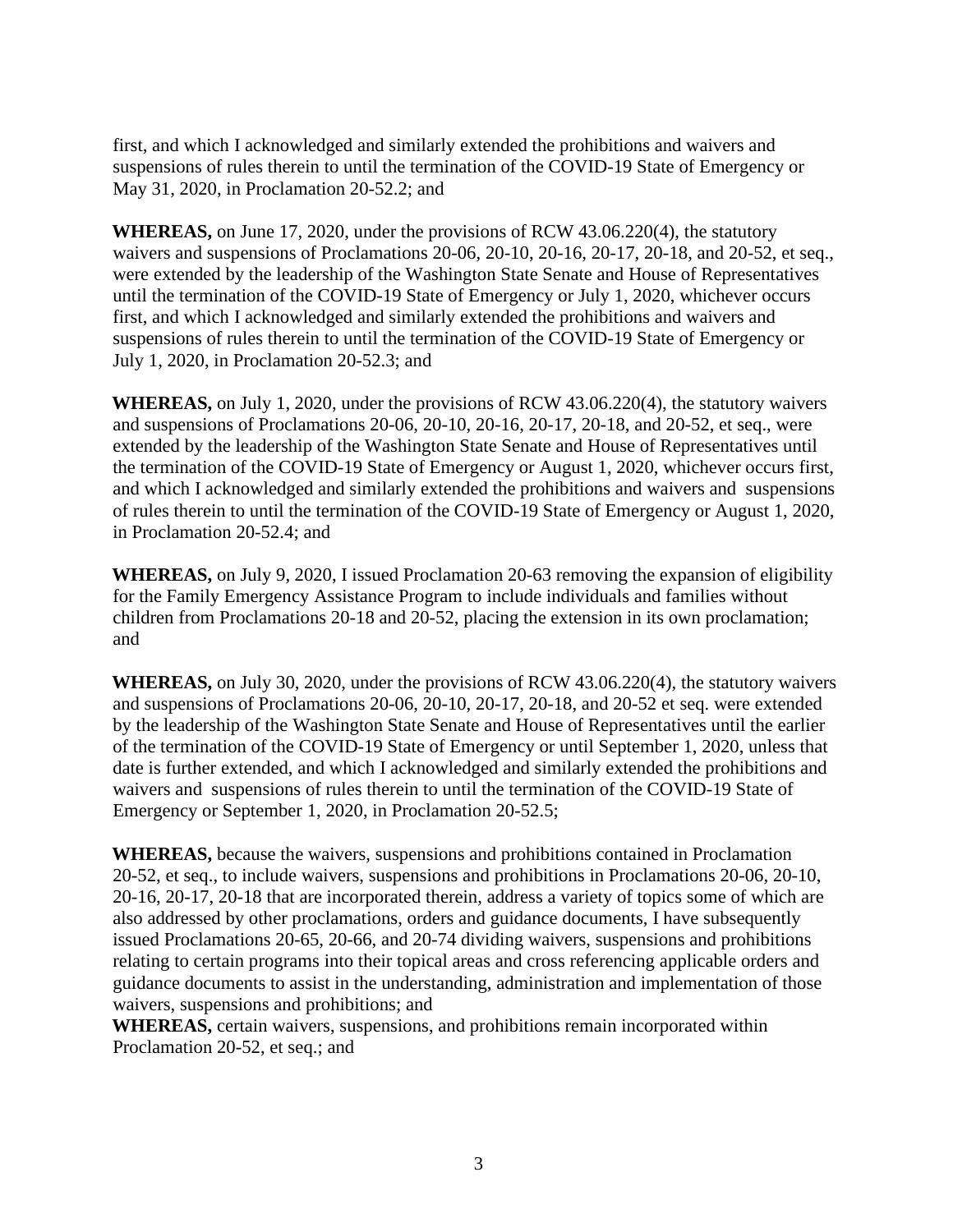first, and which I acknowledged and similarly extended the prohibitions and waivers and suspensions of rules therein to until the termination of the COVID-19 State of Emergency or May 31, 2020, in Proclamation 20-52.2; and

**WHEREAS,** on June 17, 2020, under the provisions of RCW 43.06.220(4), the statutory waivers and suspensions of Proclamations 20-06, 20-10, 20-16, 20-17, 20-18, and 20-52, et seq., were extended by the leadership of the Washington State Senate and House of Representatives until the termination of the COVID-19 State of Emergency or July 1, 2020, whichever occurs first, and which I acknowledged and similarly extended the prohibitions and waivers and suspensions of rules therein to until the termination of the COVID-19 State of Emergency or July 1, 2020, in Proclamation 20-52.3; and

**WHEREAS,** on July 1, 2020, under the provisions of RCW 43.06.220(4), the statutory waivers and suspensions of Proclamations 20-06, 20-10, 20-16, 20-17, 20-18, and 20-52, et seq., were extended by the leadership of the Washington State Senate and House of Representatives until the termination of the COVID-19 State of Emergency or August 1, 2020, whichever occurs first, and which I acknowledged and similarly extended the prohibitions and waivers and suspensions of rules therein to until the termination of the COVID-19 State of Emergency or August 1, 2020, in Proclamation 20-52.4; and

**WHEREAS,** on July 9, 2020, I issued Proclamation 20-63 removing the expansion of eligibility for the Family Emergency Assistance Program to include individuals and families without children from Proclamations 20-18 and 20-52, placing the extension in its own proclamation; and

**WHEREAS,** on July 30, 2020, under the provisions of RCW 43.06.220(4), the statutory waivers and suspensions of Proclamations 20-06, 20-10, 20-17, 20-18, and 20-52 et seq. were extended by the leadership of the Washington State Senate and House of Representatives until the earlier of the termination of the COVID-19 State of Emergency or until September 1, 2020, unless that date is further extended, and which I acknowledged and similarly extended the prohibitions and waivers and suspensions of rules therein to until the termination of the COVID-19 State of Emergency or September 1, 2020, in Proclamation 20-52.5;

**WHEREAS,** because the waivers, suspensions and prohibitions contained in Proclamation 20-52, et seq., to include waivers, suspensions and prohibitions in Proclamations 20-06, 20-10, 20-16, 20-17, 20-18 that are incorporated therein, address a variety of topics some of which are also addressed by other proclamations, orders and guidance documents, I have subsequently issued Proclamations 20-65, 20-66, and 20-74 dividing waivers, suspensions and prohibitions relating to certain programs into their topical areas and cross referencing applicable orders and guidance documents to assist in the understanding, administration and implementation of those waivers, suspensions and prohibitions; and

**WHEREAS,** certain waivers, suspensions, and prohibitions remain incorporated within Proclamation 20-52, et seq.; and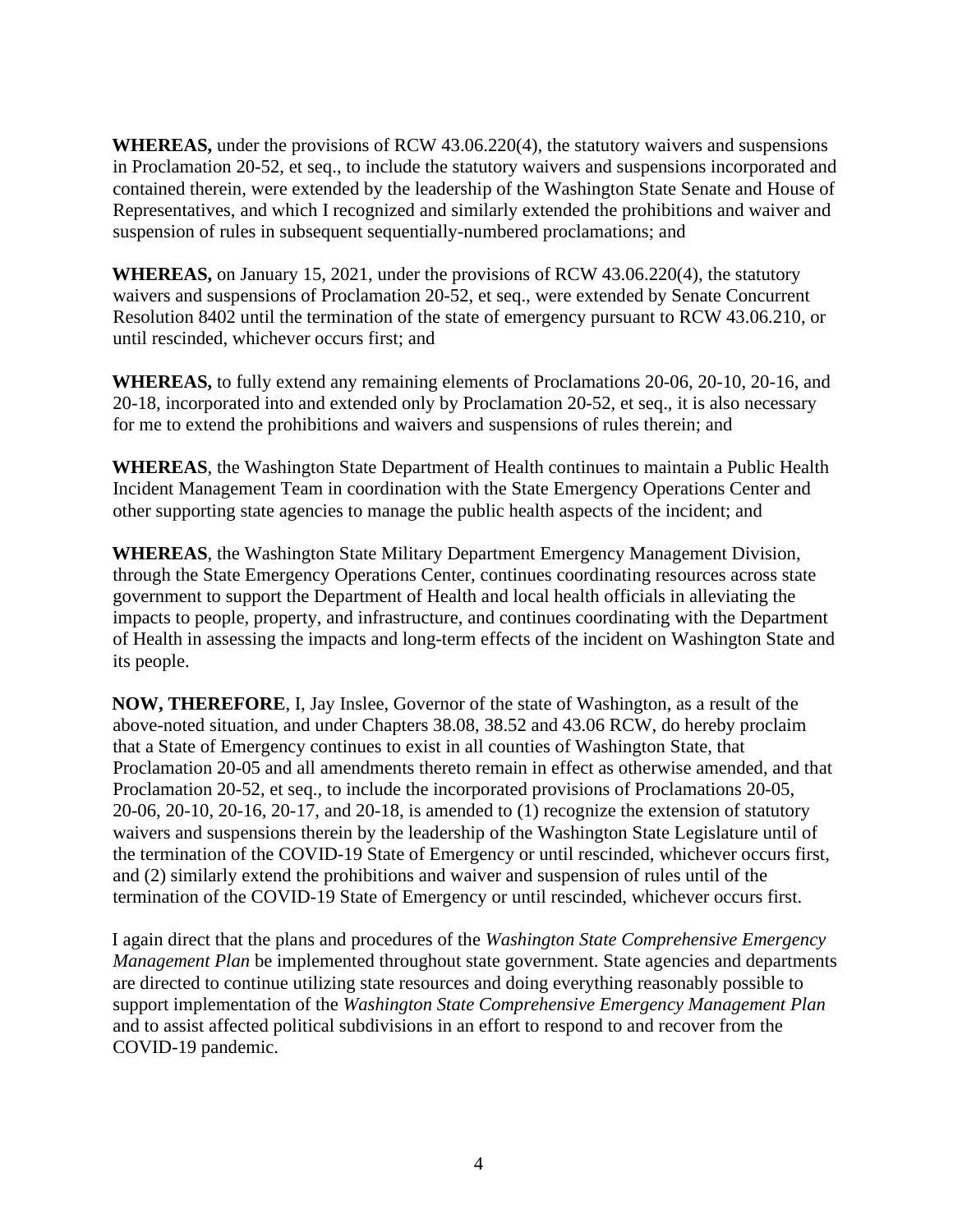**WHEREAS,** under the provisions of RCW 43.06.220(4), the statutory waivers and suspensions in Proclamation 20-52, et seq., to include the statutory waivers and suspensions incorporated and contained therein, were extended by the leadership of the Washington State Senate and House of Representatives, and which I recognized and similarly extended the prohibitions and waiver and suspension of rules in subsequent sequentially-numbered proclamations; and

**WHEREAS,** on January 15, 2021, under the provisions of RCW 43.06.220(4), the statutory waivers and suspensions of Proclamation 20-52, et seq., were extended by Senate Concurrent Resolution 8402 until the termination of the state of emergency pursuant to RCW 43.06.210, or until rescinded, whichever occurs first; and

**WHEREAS,** to fully extend any remaining elements of Proclamations 20-06, 20-10, 20-16, and 20-18, incorporated into and extended only by Proclamation 20-52, et seq., it is also necessary for me to extend the prohibitions and waivers and suspensions of rules therein; and

**WHEREAS**, the Washington State Department of Health continues to maintain a Public Health Incident Management Team in coordination with the State Emergency Operations Center and other supporting state agencies to manage the public health aspects of the incident; and

**WHEREAS**, the Washington State Military Department Emergency Management Division, through the State Emergency Operations Center, continues coordinating resources across state government to support the Department of Health and local health officials in alleviating the impacts to people, property, and infrastructure, and continues coordinating with the Department of Health in assessing the impacts and long-term effects of the incident on Washington State and its people.

**NOW, THEREFORE**, I, Jay Inslee, Governor of the state of Washington, as a result of the above-noted situation, and under Chapters 38.08, 38.52 and 43.06 RCW, do hereby proclaim that a State of Emergency continues to exist in all counties of Washington State, that Proclamation 20-05 and all amendments thereto remain in effect as otherwise amended, and that Proclamation 20-52, et seq., to include the incorporated provisions of Proclamations 20-05, 20-06, 20-10, 20-16, 20-17, and 20-18, is amended to (1) recognize the extension of statutory waivers and suspensions therein by the leadership of the Washington State Legislature until of the termination of the COVID-19 State of Emergency or until rescinded, whichever occurs first, and (2) similarly extend the prohibitions and waiver and suspension of rules until of the termination of the COVID-19 State of Emergency or until rescinded, whichever occurs first.

I again direct that the plans and procedures of the *Washington State Comprehensive Emergency Management Plan* be implemented throughout state government. State agencies and departments are directed to continue utilizing state resources and doing everything reasonably possible to support implementation of the *Washington State Comprehensive Emergency Management Plan*  and to assist affected political subdivisions in an effort to respond to and recover from the COVID-19 pandemic.